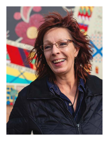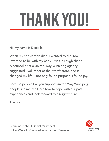Hi, my name is Danielle.

When my son Jordan died, I wanted to die, too. I wanted to be with my baby. I was in rough shape. A counsellor at a United Way Winnipeg agency suggested I volunteer at their thrift store, and it changed my life. I not only found purpose, I found joy.

Because people like you support United Way Winnipeg, people like me can learn how to cope with our past experiences and look forward to a bright future.

Thank you.

Learn more about Danielle's story at UnitedWayWinnipeg.ca/lives-changed/Danielle

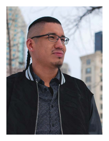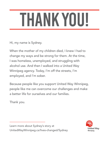Hi, my name is Sydney.

When the mother of my children died, I knew I had to change my ways and be strong for them. At the time, I was homeless, unemployed, and struggling with alcohol use. And then I walked into a United Way Winnipeg agency. Today, I'm off the streets, I'm employed, and I'm sober.

Because people like you support United Way Winnipeg, people like me can overcome our challenges and make a better life for ourselves and our families.

Thank you.



Learn more about Sydney's story at UnitedWayWinnipeg.ca/lives-changed/Sydney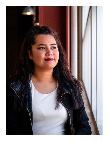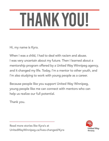Hi, my name is Kyra.

When I was a child, I had to deal with racism and abuse. I was very uncertain about my future. Then I learned about a mentorship program offered by a United Way Winnipeg agency, and it changed my life. Today, I'm a mentor to other youth, and I'm also studying to work with young people as a career.

Because people like you support United Way Winnipeg, young people like me can connect with mentors who can help us realize our full potential.

Thank you.

Winnipea

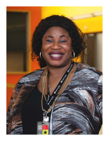